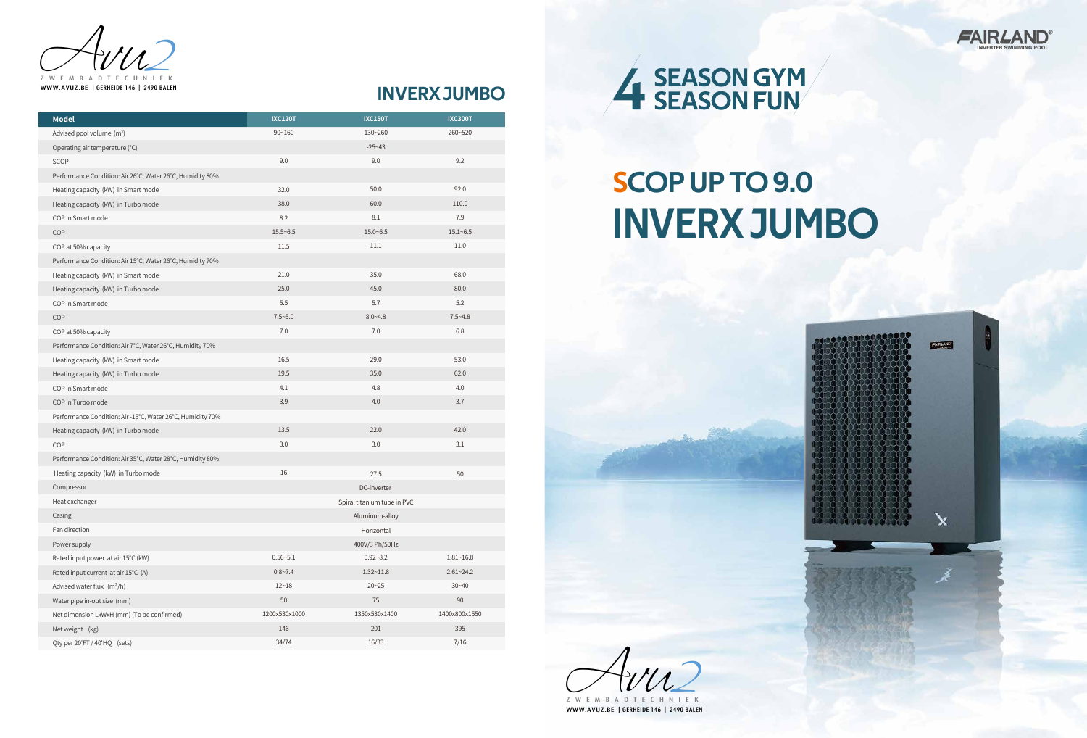

# INVERX JUMBO

| <b>Model</b>                                               | <b>IXC120T</b>              | <b>IXC150T</b> | <b>IXC300T</b> |
|------------------------------------------------------------|-----------------------------|----------------|----------------|
| Advised pool volume (m <sup>3</sup> )                      | $90 - 160$                  | 130~260        | 260~520        |
| Operating air temperature (°C)                             |                             | $-25 - 43$     |                |
| SCOP                                                       | 9.0                         | 9.0            | 9.2            |
| Performance Condition: Air 26°C, Water 26°C, Humidity 80%  |                             |                |                |
| Heating capacity (kW) in Smart mode                        | 32.0                        | 50.0           | 92.0           |
| Heating capacity (kW) in Turbo mode                        | 38.0                        | 60.0           | 110.0          |
| COP in Smart mode                                          | 8.2                         | 8.1            | 7.9            |
| COP                                                        | $15.5 - 6.5$                | $15.0 - 6.5$   | $15.1 - 6.5$   |
| COP at 50% capacity                                        | 11.5                        | 11.1           | 11.0           |
| Performance Condition: Air 15°C, Water 26°C, Humidity 70%  |                             |                |                |
| Heating capacity (kW) in Smart mode                        | 21.0                        | 35.0           | 68.0           |
| Heating capacity (kW) in Turbo mode                        | 25.0                        | 45.0           | 80.0           |
| COP in Smart mode                                          | 5.5                         | 5.7            | 5.2            |
| COP                                                        | $7.5 - 5.0$                 | $8.0 - 4.8$    | $7.5 - 4.8$    |
| COP at 50% capacity                                        | 7.0                         | 7.0            | 6.8            |
| Performance Condition: Air 7°C, Water 26°C, Humidity 70%   |                             |                |                |
| Heating capacity (kW) in Smart mode                        | 16.5                        | 29.0           | 53.0           |
| Heating capacity (kW) in Turbo mode                        | 19.5                        | 35.0           | 62.0           |
| COP in Smart mode                                          | 4.1                         | 4.8            | 4.0            |
| COP in Turbo mode                                          | 3.9                         | 4.0            | 3.7            |
| Performance Condition: Air -15°C, Water 26°C, Humidity 70% |                             |                |                |
| Heating capacity (kW) in Turbo mode                        | 13.5                        | 22.0           | 42.0           |
| COP                                                        | 3.0                         | 3.0            | 3.1            |
| Performance Condition: Air 35°C, Water 28°C, Humidity 80%  |                             |                |                |
| Heating capacity (kW) in Turbo mode                        | 16                          | 27.5           | 50             |
| Compressor                                                 | DC-inverter                 |                |                |
| Heat exchanger                                             | Spiral titanium tube in PVC |                |                |
| Casing                                                     | Aluminum-alloy              |                |                |
| Fan direction                                              | Horizontal                  |                |                |
| Power supply                                               | 400V/3 Ph/50Hz              |                |                |
| Rated input power at air 15°C (kW)                         | $0.56 - 5.1$                | $0.92 - 8.2$   | $1.81 - 16.8$  |
| Rated input current at air 15°C (A)                        | $0.8 - 7.4$                 | $1.32 - 11.8$  | $2.61 - 24.2$  |
| Advised water flux $(m^3/h)$                               | $12 - 18$                   | $20 - 25$      | $30 - 40$      |
| Water pipe in-out size (mm)                                | 50                          | 75             | 90             |
| Net dimension LxWxH (mm) (To be confirmed)                 | 1200x530x1000               | 1350x530x1400  | 1400x800x1550  |
| Net weight (kg)                                            | 146                         | 201            | 395            |
| Qty per 20'FT / 40'HQ (sets)                               | 34/74                       | 16/33          | 7/16           |

# SCOP UP TO 9.0 INVERX JUMBO

Avu Z W E M B A D T E C 2 WWW.AVUZ.BE |GERHEIDE 146 | 2490 BALEN



Z W E M B A D T E C H N I E K WWW.AVUZ.BE |GERHEIDE 146 | 2490 BALEN